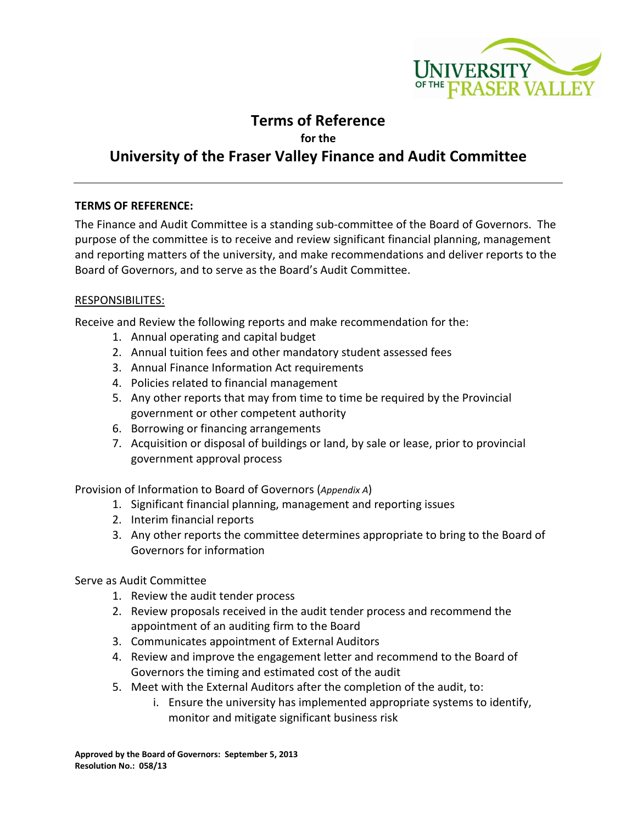

# **Terms of Reference**

**for the**

# **University of the Fraser Valley Finance and Audit Committee**

## **TERMS OF REFERENCE:**

The Finance and Audit Committee is a standing sub-committee of the Board of Governors. The purpose of the committee is to receive and review significant financial planning, management and reporting matters of the university, and make recommendations and deliver reports to the Board of Governors, and to serve as the Board's Audit Committee.

## RESPONSIBILITES:

Receive and Review the following reports and make recommendation for the:

- 1. Annual operating and capital budget
- 2. Annual tuition fees and other mandatory student assessed fees
- 3. Annual Finance Information Act requirements
- 4. Policies related to financial management
- 5. Any other reports that may from time to time be required by the Provincial government or other competent authority
- 6. Borrowing or financing arrangements
- 7. Acquisition or disposal of buildings or land, by sale or lease, prior to provincial government approval process

Provision of Information to Board of Governors (*Appendix A*)

- 1. Significant financial planning, management and reporting issues
- 2. Interim financial reports
- 3. Any other reports the committee determines appropriate to bring to the Board of Governors for information

Serve as Audit Committee

- 1. Review the audit tender process
- 2. Review proposals received in the audit tender process and recommend the appointment of an auditing firm to the Board
- 3. Communicates appointment of External Auditors
- 4. Review and improve the engagement letter and recommend to the Board of Governors the timing and estimated cost of the audit
- 5. Meet with the External Auditors after the completion of the audit, to:
	- i. Ensure the university has implemented appropriate systems to identify, monitor and mitigate significant business risk